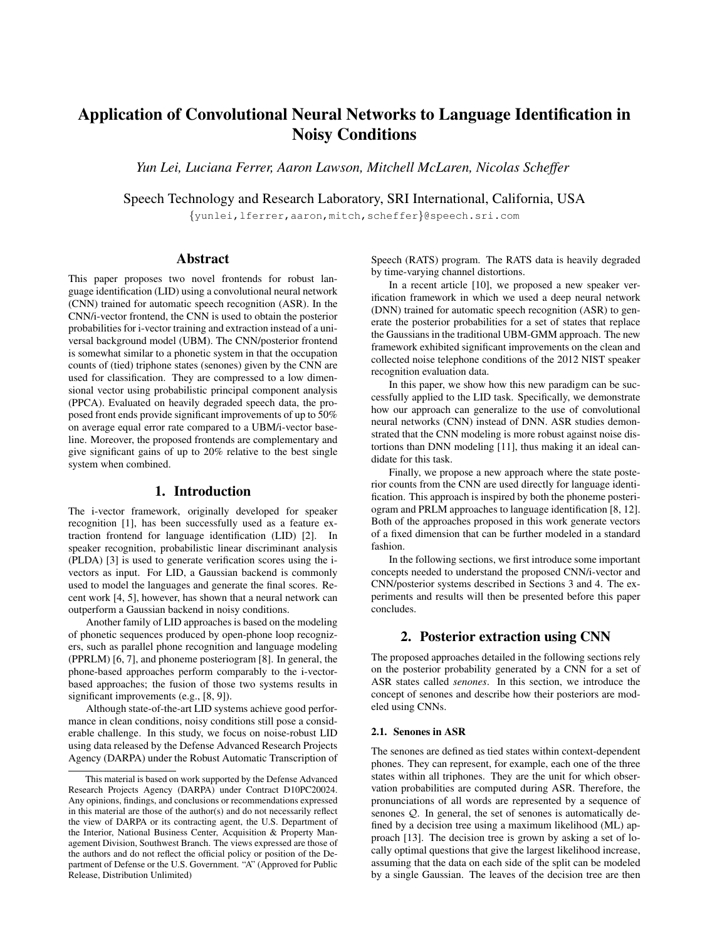# Application of Convolutional Neural Networks to Language Identification in Noisy Conditions

*Yun Lei, Luciana Ferrer, Aaron Lawson, Mitchell McLaren, Nicolas Scheffer*

Speech Technology and Research Laboratory, SRI International, California, USA

{yunlei,lferrer,aaron,mitch,scheffer}@speech.sri.com

## Abstract

This paper proposes two novel frontends for robust language identification (LID) using a convolutional neural network (CNN) trained for automatic speech recognition (ASR). In the CNN/i-vector frontend, the CNN is used to obtain the posterior probabilities for i-vector training and extraction instead of a universal background model (UBM). The CNN/posterior frontend is somewhat similar to a phonetic system in that the occupation counts of (tied) triphone states (senones) given by the CNN are used for classification. They are compressed to a low dimensional vector using probabilistic principal component analysis (PPCA). Evaluated on heavily degraded speech data, the proposed front ends provide significant improvements of up to 50% on average equal error rate compared to a UBM/i-vector baseline. Moreover, the proposed frontends are complementary and give significant gains of up to 20% relative to the best single system when combined.

### 1. Introduction

The i-vector framework, originally developed for speaker recognition [1], has been successfully used as a feature extraction frontend for language identification (LID) [2]. In speaker recognition, probabilistic linear discriminant analysis (PLDA) [3] is used to generate verification scores using the ivectors as input. For LID, a Gaussian backend is commonly used to model the languages and generate the final scores. Recent work [4, 5], however, has shown that a neural network can outperform a Gaussian backend in noisy conditions.

Another family of LID approaches is based on the modeling of phonetic sequences produced by open-phone loop recognizers, such as parallel phone recognition and language modeling (PPRLM) [6, 7], and phoneme posteriogram [8]. In general, the phone-based approaches perform comparably to the i-vectorbased approaches; the fusion of those two systems results in significant improvements (e.g., [8, 9]).

Although state-of-the-art LID systems achieve good performance in clean conditions, noisy conditions still pose a considerable challenge. In this study, we focus on noise-robust LID using data released by the Defense Advanced Research Projects Agency (DARPA) under the Robust Automatic Transcription of Speech (RATS) program. The RATS data is heavily degraded by time-varying channel distortions.

In a recent article [10], we proposed a new speaker verification framework in which we used a deep neural network (DNN) trained for automatic speech recognition (ASR) to generate the posterior probabilities for a set of states that replace the Gaussians in the traditional UBM-GMM approach. The new framework exhibited significant improvements on the clean and collected noise telephone conditions of the 2012 NIST speaker recognition evaluation data.

In this paper, we show how this new paradigm can be successfully applied to the LID task. Specifically, we demonstrate how our approach can generalize to the use of convolutional neural networks (CNN) instead of DNN. ASR studies demonstrated that the CNN modeling is more robust against noise distortions than DNN modeling [11], thus making it an ideal candidate for this task.

Finally, we propose a new approach where the state posterior counts from the CNN are used directly for language identification. This approach is inspired by both the phoneme posteriogram and PRLM approaches to language identification [8, 12]. Both of the approaches proposed in this work generate vectors of a fixed dimension that can be further modeled in a standard fashion.

In the following sections, we first introduce some important concepts needed to understand the proposed CNN/i-vector and CNN/posterior systems described in Sections 3 and 4. The experiments and results will then be presented before this paper concludes.

# 2. Posterior extraction using CNN

The proposed approaches detailed in the following sections rely on the posterior probability generated by a CNN for a set of ASR states called *senones*. In this section, we introduce the concept of senones and describe how their posteriors are modeled using CNNs.

#### 2.1. Senones in ASR

The senones are defined as tied states within context-dependent phones. They can represent, for example, each one of the three states within all triphones. They are the unit for which observation probabilities are computed during ASR. Therefore, the pronunciations of all words are represented by a sequence of senones Q. In general, the set of senones is automatically defined by a decision tree using a maximum likelihood (ML) approach [13]. The decision tree is grown by asking a set of locally optimal questions that give the largest likelihood increase, assuming that the data on each side of the split can be modeled by a single Gaussian. The leaves of the decision tree are then

This material is based on work supported by the Defense Advanced Research Projects Agency (DARPA) under Contract D10PC20024. Any opinions, findings, and conclusions or recommendations expressed in this material are those of the author(s) and do not necessarily reflect the view of DARPA or its contracting agent, the U.S. Department of the Interior, National Business Center, Acquisition & Property Management Division, Southwest Branch. The views expressed are those of the authors and do not reflect the official policy or position of the Department of Defense or the U.S. Government. "A" (Approved for Public Release, Distribution Unlimited)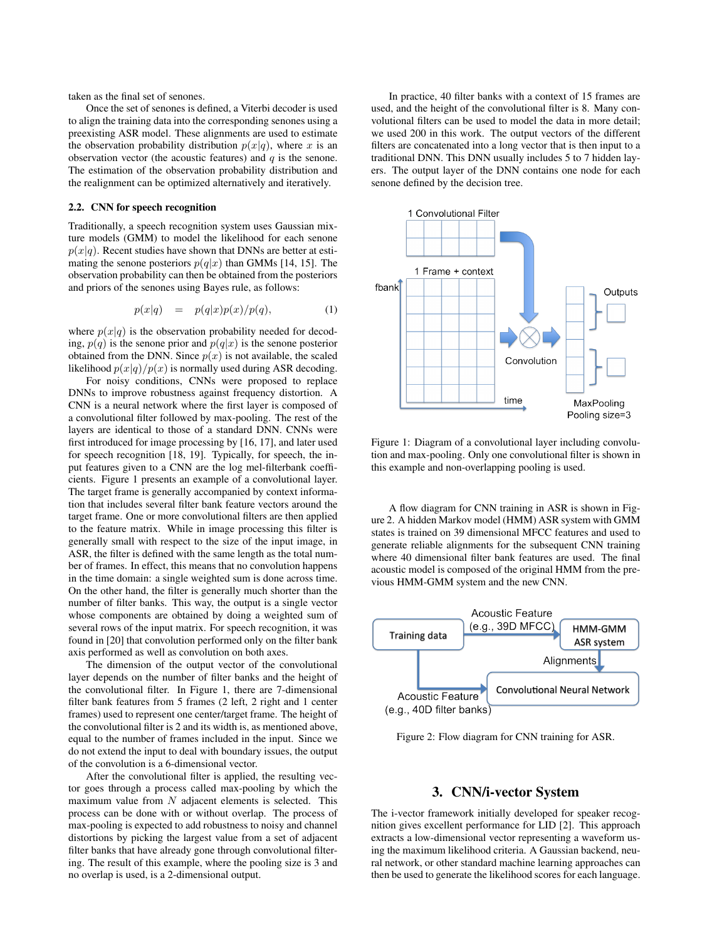taken as the final set of senones.

Once the set of senones is defined, a Viterbi decoder is used to align the training data into the corresponding senones using a preexisting ASR model. These alignments are used to estimate the observation probability distribution  $p(x|q)$ , where x is an observation vector (the acoustic features) and  $q$  is the senone. The estimation of the observation probability distribution and the realignment can be optimized alternatively and iteratively.

#### 2.2. CNN for speech recognition

Traditionally, a speech recognition system uses Gaussian mixture models (GMM) to model the likelihood for each senone  $p(x|q)$ . Recent studies have shown that DNNs are better at estimating the senone posteriors  $p(q|x)$  than GMMs [14, 15]. The observation probability can then be obtained from the posteriors and priors of the senones using Bayes rule, as follows:

$$
p(x|q) = p(q|x)p(x)/p(q), \qquad (1)
$$

where  $p(x|q)$  is the observation probability needed for decoding,  $p(q)$  is the senone prior and  $p(q|x)$  is the senone posterior obtained from the DNN. Since  $p(x)$  is not available, the scaled likelihood  $p(x|q)/p(x)$  is normally used during ASR decoding.

For noisy conditions, CNNs were proposed to replace DNNs to improve robustness against frequency distortion. A CNN is a neural network where the first layer is composed of a convolutional filter followed by max-pooling. The rest of the layers are identical to those of a standard DNN. CNNs were first introduced for image processing by [16, 17], and later used for speech recognition [18, 19]. Typically, for speech, the input features given to a CNN are the log mel-filterbank coefficients. Figure 1 presents an example of a convolutional layer. The target frame is generally accompanied by context information that includes several filter bank feature vectors around the target frame. One or more convolutional filters are then applied to the feature matrix. While in image processing this filter is generally small with respect to the size of the input image, in ASR, the filter is defined with the same length as the total number of frames. In effect, this means that no convolution happens in the time domain: a single weighted sum is done across time. On the other hand, the filter is generally much shorter than the number of filter banks. This way, the output is a single vector whose components are obtained by doing a weighted sum of several rows of the input matrix. For speech recognition, it was found in [20] that convolution performed only on the filter bank axis performed as well as convolution on both axes.

The dimension of the output vector of the convolutional layer depends on the number of filter banks and the height of the convolutional filter. In Figure 1, there are 7-dimensional filter bank features from 5 frames (2 left, 2 right and 1 center frames) used to represent one center/target frame. The height of the convolutional filter is 2 and its width is, as mentioned above, equal to the number of frames included in the input. Since we do not extend the input to deal with boundary issues, the output of the convolution is a 6-dimensional vector.

After the convolutional filter is applied, the resulting vector goes through a process called max-pooling by which the maximum value from  $N$  adjacent elements is selected. This process can be done with or without overlap. The process of max-pooling is expected to add robustness to noisy and channel distortions by picking the largest value from a set of adjacent filter banks that have already gone through convolutional filtering. The result of this example, where the pooling size is 3 and no overlap is used, is a 2-dimensional output.

In practice, 40 filter banks with a context of 15 frames are used, and the height of the convolutional filter is 8. Many convolutional filters can be used to model the data in more detail; we used 200 in this work. The output vectors of the different filters are concatenated into a long vector that is then input to a traditional DNN. This DNN usually includes 5 to 7 hidden layers. The output layer of the DNN contains one node for each senone defined by the decision tree.



Figure 1: Diagram of a convolutional layer including convolution and max-pooling. Only one convolutional filter is shown in this example and non-overlapping pooling is used.

A flow diagram for CNN training in ASR is shown in Figure 2. A hidden Markov model (HMM) ASR system with GMM states is trained on 39 dimensional MFCC features and used to generate reliable alignments for the subsequent CNN training where 40 dimensional filter bank features are used. The final acoustic model is composed of the original HMM from the previous HMM-GMM system and the new CNN.



Figure 2: Flow diagram for CNN training for ASR.

## 3. CNN/i-vector System

The i-vector framework initially developed for speaker recognition gives excellent performance for LID [2]. This approach extracts a low-dimensional vector representing a waveform using the maximum likelihood criteria. A Gaussian backend, neural network, or other standard machine learning approaches can then be used to generate the likelihood scores for each language.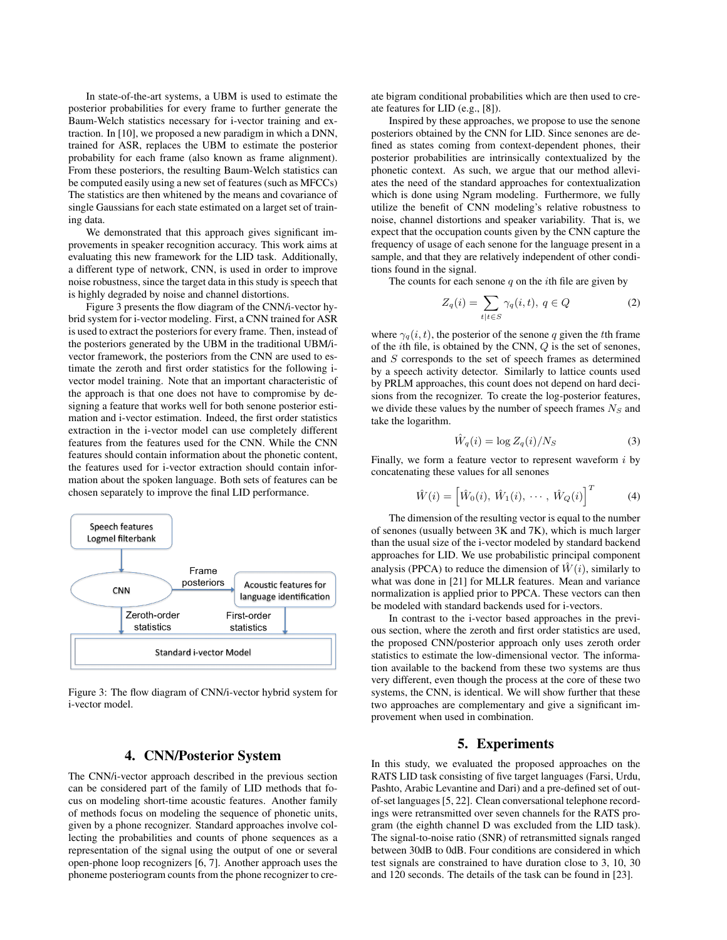In state-of-the-art systems, a UBM is used to estimate the posterior probabilities for every frame to further generate the Baum-Welch statistics necessary for i-vector training and extraction. In [10], we proposed a new paradigm in which a DNN, trained for ASR, replaces the UBM to estimate the posterior probability for each frame (also known as frame alignment). From these posteriors, the resulting Baum-Welch statistics can be computed easily using a new set of features (such as MFCCs) The statistics are then whitened by the means and covariance of single Gaussians for each state estimated on a larget set of training data.

We demonstrated that this approach gives significant improvements in speaker recognition accuracy. This work aims at evaluating this new framework for the LID task. Additionally, a different type of network, CNN, is used in order to improve noise robustness, since the target data in this study is speech that is highly degraded by noise and channel distortions.

Figure 3 presents the flow diagram of the CNN/i-vector hybrid system for i-vector modeling. First, a CNN trained for ASR is used to extract the posteriors for every frame. Then, instead of the posteriors generated by the UBM in the traditional UBM/ivector framework, the posteriors from the CNN are used to estimate the zeroth and first order statistics for the following ivector model training. Note that an important characteristic of the approach is that one does not have to compromise by designing a feature that works well for both senone posterior estimation and i-vector estimation. Indeed, the first order statistics extraction in the i-vector model can use completely different features from the features used for the CNN. While the CNN features should contain information about the phonetic content, the features used for i-vector extraction should contain information about the spoken language. Both sets of features can be chosen separately to improve the final LID performance.



Figure 3: The flow diagram of CNN/i-vector hybrid system for i-vector model.

# 4. CNN/Posterior System

The CNN/i-vector approach described in the previous section can be considered part of the family of LID methods that focus on modeling short-time acoustic features. Another family of methods focus on modeling the sequence of phonetic units, given by a phone recognizer. Standard approaches involve collecting the probabilities and counts of phone sequences as a representation of the signal using the output of one or several open-phone loop recognizers [6, 7]. Another approach uses the phoneme posteriogram counts from the phone recognizer to create bigram conditional probabilities which are then used to create features for LID (e.g., [8]).

Inspired by these approaches, we propose to use the senone posteriors obtained by the CNN for LID. Since senones are defined as states coming from context-dependent phones, their posterior probabilities are intrinsically contextualized by the phonetic context. As such, we argue that our method alleviates the need of the standard approaches for contextualization which is done using Ngram modeling. Furthermore, we fully utilize the benefit of CNN modeling's relative robustness to noise, channel distortions and speaker variability. That is, we expect that the occupation counts given by the CNN capture the frequency of usage of each senone for the language present in a sample, and that they are relatively independent of other conditions found in the signal.

The counts for each senone  $q$  on the *i*th file are given by

$$
Z_q(i) = \sum_{t|t \in S} \gamma_q(i, t), \ q \in Q \tag{2}
$$

where  $\gamma_q(i, t)$ , the posterior of the senone q given the tth frame of the ith file, is obtained by the CNN, Q is the set of senones, and S corresponds to the set of speech frames as determined by a speech activity detector. Similarly to lattice counts used by PRLM approaches, this count does not depend on hard decisions from the recognizer. To create the log-posterior features, we divide these values by the number of speech frames  $N_S$  and take the logarithm.

$$
\hat{W}_q(i) = \log Z_q(i)/N_S \tag{3}
$$

Finally, we form a feature vector to represent waveform  $i$  by concatenating these values for all senones

$$
\hat{W}(i) = \left[\hat{W}_0(i), \ \hat{W}_1(i), \ \cdots, \ \hat{W}_Q(i)\right]^T \tag{4}
$$

The dimension of the resulting vector is equal to the number of senones (usually between 3K and 7K), which is much larger than the usual size of the i-vector modeled by standard backend approaches for LID. We use probabilistic principal component analysis (PPCA) to reduce the dimension of  $\hat{W}(i)$ , similarly to what was done in [21] for MLLR features. Mean and variance normalization is applied prior to PPCA. These vectors can then be modeled with standard backends used for i-vectors.

In contrast to the i-vector based approaches in the previous section, where the zeroth and first order statistics are used, the proposed CNN/posterior approach only uses zeroth order statistics to estimate the low-dimensional vector. The information available to the backend from these two systems are thus very different, even though the process at the core of these two systems, the CNN, is identical. We will show further that these two approaches are complementary and give a significant improvement when used in combination.

## 5. Experiments

In this study, we evaluated the proposed approaches on the RATS LID task consisting of five target languages (Farsi, Urdu, Pashto, Arabic Levantine and Dari) and a pre-defined set of outof-set languages [5, 22]. Clean conversational telephone recordings were retransmitted over seven channels for the RATS program (the eighth channel D was excluded from the LID task). The signal-to-noise ratio (SNR) of retransmitted signals ranged between 30dB to 0dB. Four conditions are considered in which test signals are constrained to have duration close to 3, 10, 30 and 120 seconds. The details of the task can be found in [23].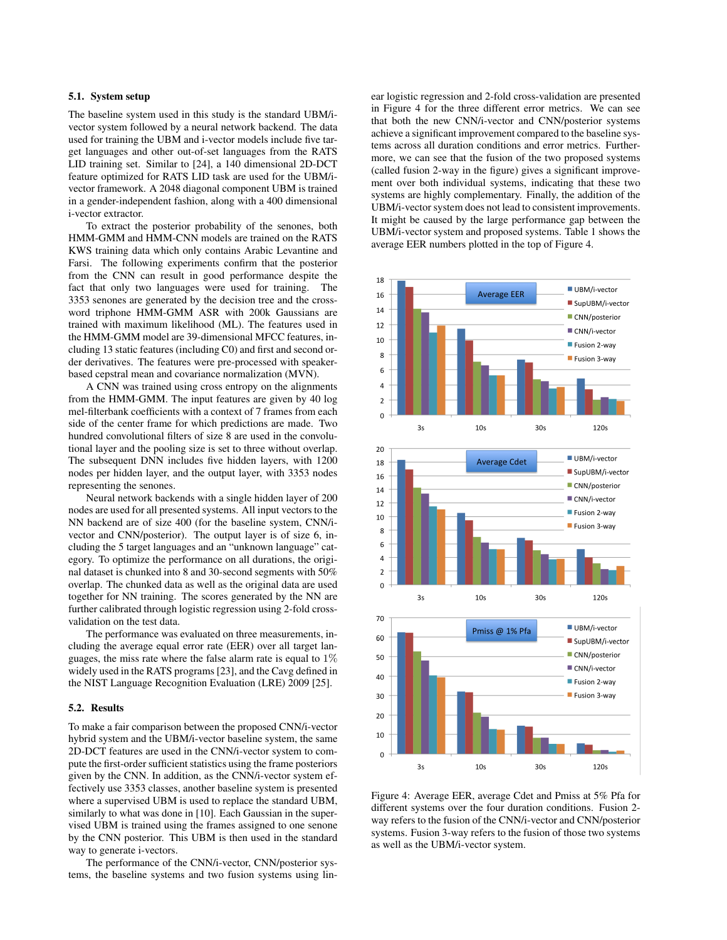#### 5.1. System setup

The baseline system used in this study is the standard UBM/ivector system followed by a neural network backend. The data used for training the UBM and i-vector models include five target languages and other out-of-set languages from the RATS LID training set. Similar to [24], a 140 dimensional 2D-DCT feature optimized for RATS LID task are used for the UBM/ivector framework. A 2048 diagonal component UBM is trained in a gender-independent fashion, along with a 400 dimensional i-vector extractor.

To extract the posterior probability of the senones, both HMM-GMM and HMM-CNN models are trained on the RATS KWS training data which only contains Arabic Levantine and Farsi. The following experiments confirm that the posterior from the CNN can result in good performance despite the fact that only two languages were used for training. The 3353 senones are generated by the decision tree and the crossword triphone HMM-GMM ASR with 200k Gaussians are trained with maximum likelihood (ML). The features used in the HMM-GMM model are 39-dimensional MFCC features, including 13 static features (including C0) and first and second order derivatives. The features were pre-processed with speakerbased cepstral mean and covariance normalization (MVN).

A CNN was trained using cross entropy on the alignments from the HMM-GMM. The input features are given by 40 log mel-filterbank coefficients with a context of 7 frames from each side of the center frame for which predictions are made. Two hundred convolutional filters of size 8 are used in the convolutional layer and the pooling size is set to three without overlap. The subsequent DNN includes five hidden layers, with 1200 nodes per hidden layer, and the output layer, with 3353 nodes representing the senones.

Neural network backends with a single hidden layer of 200 nodes are used for all presented systems. All input vectors to the NN backend are of size 400 (for the baseline system, CNN/ivector and CNN/posterior). The output layer is of size 6, including the 5 target languages and an "unknown language" category. To optimize the performance on all durations, the original dataset is chunked into 8 and 30-second segments with 50% overlap. The chunked data as well as the original data are used together for NN training. The scores generated by the NN are further calibrated through logistic regression using 2-fold crossvalidation on the test data.

The performance was evaluated on three measurements, including the average equal error rate (EER) over all target languages, the miss rate where the false alarm rate is equal to 1% widely used in the RATS programs [23], and the Cavg defined in the NIST Language Recognition Evaluation (LRE) 2009 [25].

#### 5.2. Results

To make a fair comparison between the proposed CNN/i-vector hybrid system and the UBM/i-vector baseline system, the same 2D-DCT features are used in the CNN/i-vector system to compute the first-order sufficient statistics using the frame posteriors given by the CNN. In addition, as the CNN/i-vector system effectively use 3353 classes, another baseline system is presented where a supervised UBM is used to replace the standard UBM, similarly to what was done in [10]. Each Gaussian in the supervised UBM is trained using the frames assigned to one senone by the CNN posterior. This UBM is then used in the standard way to generate i-vectors.

The performance of the CNN/i-vector, CNN/posterior systems, the baseline systems and two fusion systems using linear logistic regression and 2-fold cross-validation are presented in Figure 4 for the three different error metrics. We can see that both the new CNN/i-vector and CNN/posterior systems achieve a significant improvement compared to the baseline systems across all duration conditions and error metrics. Furthermore, we can see that the fusion of the two proposed systems (called fusion 2-way in the figure) gives a significant improvement over both individual systems, indicating that these two systems are highly complementary. Finally, the addition of the UBM/i-vector system does not lead to consistent improvements. It might be caused by the large performance gap between the UBM/i-vector system and proposed systems. Table 1 shows the average EER numbers plotted in the top of Figure 4.



Figure 4: Average EER, average Cdet and Pmiss at 5% Pfa for different systems over the four duration conditions. Fusion 2 way refers to the fusion of the CNN/i-vector and CNN/posterior systems. Fusion 3-way refers to the fusion of those two systems as well as the UBM/i-vector system.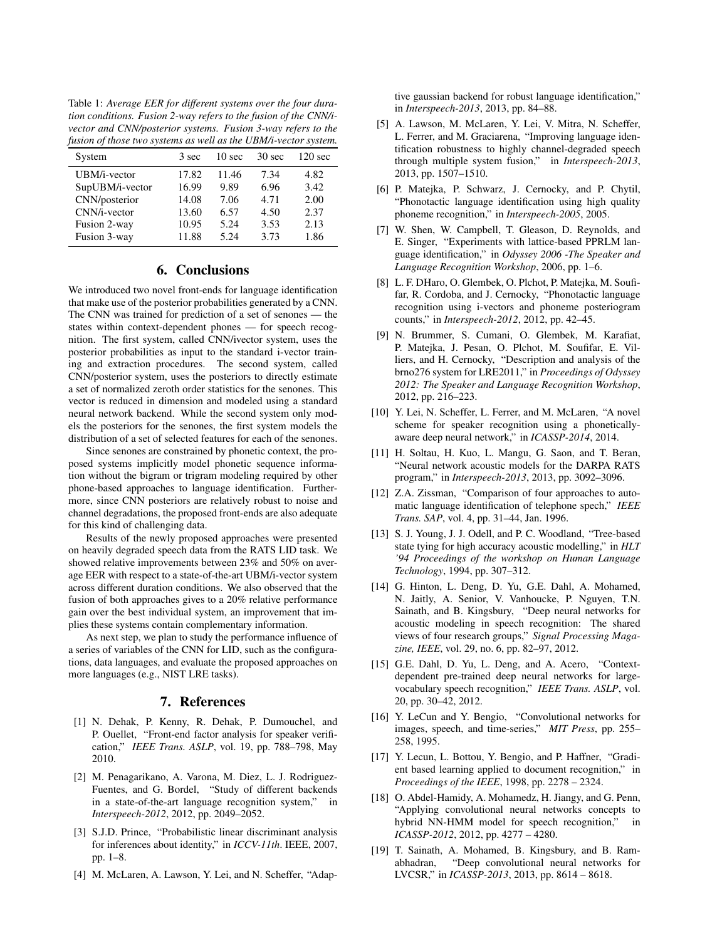Table 1: *Average EER for different systems over the four duration conditions. Fusion 2-way refers to the fusion of the CNN/ivector and CNN/posterior systems. Fusion 3-way refers to the fusion of those two systems as well as the UBM/i-vector system.*

| System          | 3 sec | 10 <sub>sec</sub> | 30 sec | $120 \text{ sec}$ |
|-----------------|-------|-------------------|--------|-------------------|
| UBM/i-vector    | 17.82 | 11.46             | 7.34   | 4.82              |
| SupUBM/i-vector | 16.99 | 9.89              | 6.96   | 3.42              |
| CNN/posterior   | 14.08 | 7.06              | 4.71   | 2.00              |
| CNN/i-vector    | 13.60 | 6.57              | 4.50   | 2.37              |
| Fusion 2-way    | 10.95 | 5.24              | 3.53   | 2.13              |
| Fusion 3-way    | 11.88 | 5.24              | 3.73   | 1.86              |

#### 6. Conclusions

We introduced two novel front-ends for language identification that make use of the posterior probabilities generated by a CNN. The CNN was trained for prediction of a set of senones — the states within context-dependent phones — for speech recognition. The first system, called CNN/ivector system, uses the posterior probabilities as input to the standard i-vector training and extraction procedures. The second system, called CNN/posterior system, uses the posteriors to directly estimate a set of normalized zeroth order statistics for the senones. This vector is reduced in dimension and modeled using a standard neural network backend. While the second system only models the posteriors for the senones, the first system models the distribution of a set of selected features for each of the senones.

Since senones are constrained by phonetic context, the proposed systems implicitly model phonetic sequence information without the bigram or trigram modeling required by other phone-based approaches to language identification. Furthermore, since CNN posteriors are relatively robust to noise and channel degradations, the proposed front-ends are also adequate for this kind of challenging data.

Results of the newly proposed approaches were presented on heavily degraded speech data from the RATS LID task. We showed relative improvements between 23% and 50% on average EER with respect to a state-of-the-art UBM/i-vector system across different duration conditions. We also observed that the fusion of both approaches gives to a 20% relative performance gain over the best individual system, an improvement that implies these systems contain complementary information.

As next step, we plan to study the performance influence of a series of variables of the CNN for LID, such as the configurations, data languages, and evaluate the proposed approaches on more languages (e.g., NIST LRE tasks).

#### 7. References

- [1] N. Dehak, P. Kenny, R. Dehak, P. Dumouchel, and P. Ouellet, "Front-end factor analysis for speaker verification," *IEEE Trans. ASLP*, vol. 19, pp. 788–798, May 2010.
- [2] M. Penagarikano, A. Varona, M. Diez, L. J. Rodriguez-Fuentes, and G. Bordel, "Study of different backends in a state-of-the-art language recognition system," in *Interspeech-2012*, 2012, pp. 2049–2052.
- [3] S.J.D. Prince, "Probabilistic linear discriminant analysis for inferences about identity," in *ICCV-11th*. IEEE, 2007, pp. 1–8.
- [4] M. McLaren, A. Lawson, Y. Lei, and N. Scheffer, "Adap-

tive gaussian backend for robust language identification," in *Interspeech-2013*, 2013, pp. 84–88.

- [5] A. Lawson, M. McLaren, Y. Lei, V. Mitra, N. Scheffer, L. Ferrer, and M. Graciarena, "Improving language identification robustness to highly channel-degraded speech through multiple system fusion," in *Interspeech-2013*, 2013, pp. 1507–1510.
- [6] P. Matejka, P. Schwarz, J. Cernocky, and P. Chytil, "Phonotactic language identification using high quality phoneme recognition," in *Interspeech-2005*, 2005.
- [7] W. Shen, W. Campbell, T. Gleason, D. Reynolds, and E. Singer, "Experiments with lattice-based PPRLM language identification," in *Odyssey 2006 -The Speaker and Language Recognition Workshop*, 2006, pp. 1–6.
- [8] L. F. DHaro, O. Glembek, O. Plchot, P. Matejka, M. Soufifar, R. Cordoba, and J. Cernocky, "Phonotactic language recognition using i-vectors and phoneme posteriogram counts," in *Interspeech-2012*, 2012, pp. 42–45.
- [9] N. Brummer, S. Cumani, O. Glembek, M. Karafiat, P. Matejka, J. Pesan, O. Plchot, M. Soufifar, E. Villiers, and H. Cernocky, "Description and analysis of the brno276 system for LRE2011," in *Proceedings of Odyssey 2012: The Speaker and Language Recognition Workshop*, 2012, pp. 216–223.
- [10] Y. Lei, N. Scheffer, L. Ferrer, and M. McLaren, "A novel scheme for speaker recognition using a phoneticallyaware deep neural network," in *ICASSP-2014*, 2014.
- [11] H. Soltau, H. Kuo, L. Mangu, G. Saon, and T. Beran, "Neural network acoustic models for the DARPA RATS program," in *Interspeech-2013*, 2013, pp. 3092–3096.
- [12] Z.A. Zissman, "Comparison of four approaches to automatic language identification of telephone spech," *IEEE Trans. SAP*, vol. 4, pp. 31–44, Jan. 1996.
- [13] S. J. Young, J. J. Odell, and P. C. Woodland, "Tree-based state tying for high accuracy acoustic modelling," in *HLT '94 Proceedings of the workshop on Human Language Technology*, 1994, pp. 307–312.
- [14] G. Hinton, L. Deng, D. Yu, G.E. Dahl, A. Mohamed, N. Jaitly, A. Senior, V. Vanhoucke, P. Nguyen, T.N. Sainath, and B. Kingsbury, "Deep neural networks for acoustic modeling in speech recognition: The shared views of four research groups," *Signal Processing Magazine, IEEE*, vol. 29, no. 6, pp. 82–97, 2012.
- [15] G.E. Dahl, D. Yu, L. Deng, and A. Acero, "Contextdependent pre-trained deep neural networks for largevocabulary speech recognition," *IEEE Trans. ASLP*, vol. 20, pp. 30–42, 2012.
- [16] Y. LeCun and Y. Bengio, "Convolutional networks for images, speech, and time-series," *MIT Press*, pp. 255– 258, 1995.
- [17] Y. Lecun, L. Bottou, Y. Bengio, and P. Haffner, "Gradient based learning applied to document recognition," in *Proceedings of the IEEE*, 1998, pp. 2278 – 2324.
- [18] O. Abdel-Hamidy, A. Mohamedz, H. Jiangy, and G. Penn, "Applying convolutional neural networks concepts to hybrid NN-HMM model for speech recognition," in *ICASSP-2012*, 2012, pp. 4277 – 4280.
- [19] T. Sainath, A. Mohamed, B. Kingsbury, and B. Ramabhadran, "Deep convolutional neural networks for LVCSR," in *ICASSP-2013*, 2013, pp. 8614 – 8618.